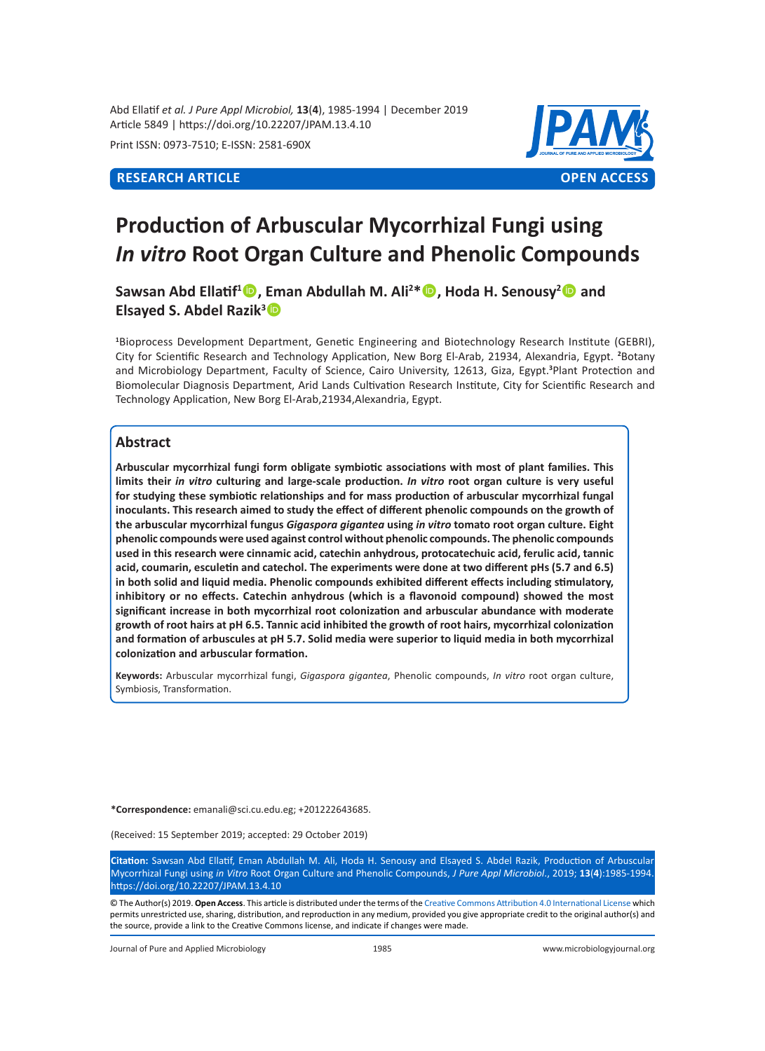Abd Ellatif *et al. J Pure Appl Microbiol,* **13**(**4**), 1985-1994 | December 2019 Article 5849 | https://doi.org/10.22207/JPAM.13.4.10

Print ISSN: 0973-7510; E-ISSN: 2581-690X



# **Production of Arbuscular Mycorrhizal Fungi using**  *In vitro* **Root Organ Culture and Phenolic Compounds**

**Sawsan Abd Ellatif<sup>1</sup> , Eman Abdullah M. Ali2 \*, Hoda H. Senousy2 and Elsayed S. Abdel Razik3**

**1** Bioprocess Development Department, Genetic Engineering and Biotechnology Research Institute (GEBRI), City for Scientific Research and Technology Application, New Borg El-Arab, 21934, Alexandria, Egypt. **<sup>2</sup>** Botany and Microbiology Department, Faculty of Science, Cairo University, 12613, Giza, Egypt.**<sup>3</sup>** Plant Protection and Biomolecular Diagnosis Department, Arid Lands Cultivation Research Institute, City for Scientific Research and Technology Application, New Borg El-Arab,21934,Alexandria, Egypt.

# **Abstract**

**Arbuscular mycorrhizal fungi form obligate symbiotic associations with most of plant families. This limits their** *in vitro* **culturing and large-scale production.** *In vitro* **root organ culture is very useful for studying these symbiotic relationships and for mass production of arbuscular mycorrhizal fungal inoculants. This research aimed to study the effect of different phenolic compounds on the growth of the arbuscular mycorrhizal fungus** *Gigaspora gigantea* **using** *in vitro* **tomato root organ culture. Eight phenolic compounds were used against control without phenolic compounds. The phenolic compounds used in this research were cinnamic acid, catechin anhydrous, protocatechuic acid, ferulic acid, tannic acid, coumarin, esculetin and catechol. The experiments were done at two different pHs (5.7 and 6.5) in both solid and liquid media. Phenolic compounds exhibited different effects including stimulatory, inhibitory or no effects. Catechin anhydrous (which is a flavonoid compound) showed the most significant increase in both mycorrhizal root colonization and arbuscular abundance with moderate growth of root hairs at pH 6.5. Tannic acid inhibited the growth of root hairs, mycorrhizal colonization and formation of arbuscules at pH 5.7. Solid media were superior to liquid media in both mycorrhizal colonization and arbuscular formation.**

**Keywords:** Arbuscular mycorrhizal fungi, *Gigaspora gigantea*, Phenolic compounds, *In vitro* root organ culture, Symbiosis, Transformation.

**\*Correspondence:** emanali@sci.cu.edu.eg; +201222643685.

(Received: 15 September 2019; accepted: 29 October 2019)

**Citation:** Sawsan Abd Ellatif, Eman Abdullah M. Ali, Hoda H. Senousy and Elsayed S. Abdel Razik, Production of Arbuscular Mycorrhizal Fungi using *in Vitro* Root Organ Culture and Phenolic Compounds, *J Pure Appl Microbiol*., 2019; **13**(**4**):1985-1994. https://doi.org/10.22207/JPAM.13.4.10

© The Author(s) 2019. **Open Access**. This article is distributed under the terms of the [Creative Commons Attribution 4.0 International License](https://creativecommons.org/licenses/by/4.0/) which permits unrestricted use, sharing, distribution, and reproduction in any medium, provided you give appropriate credit to the original author(s) and the source, provide a link to the Creative Commons license, and indicate if changes were made.

Journal of Pure and Applied Microbiology 1985 www.microbiologyjournal.org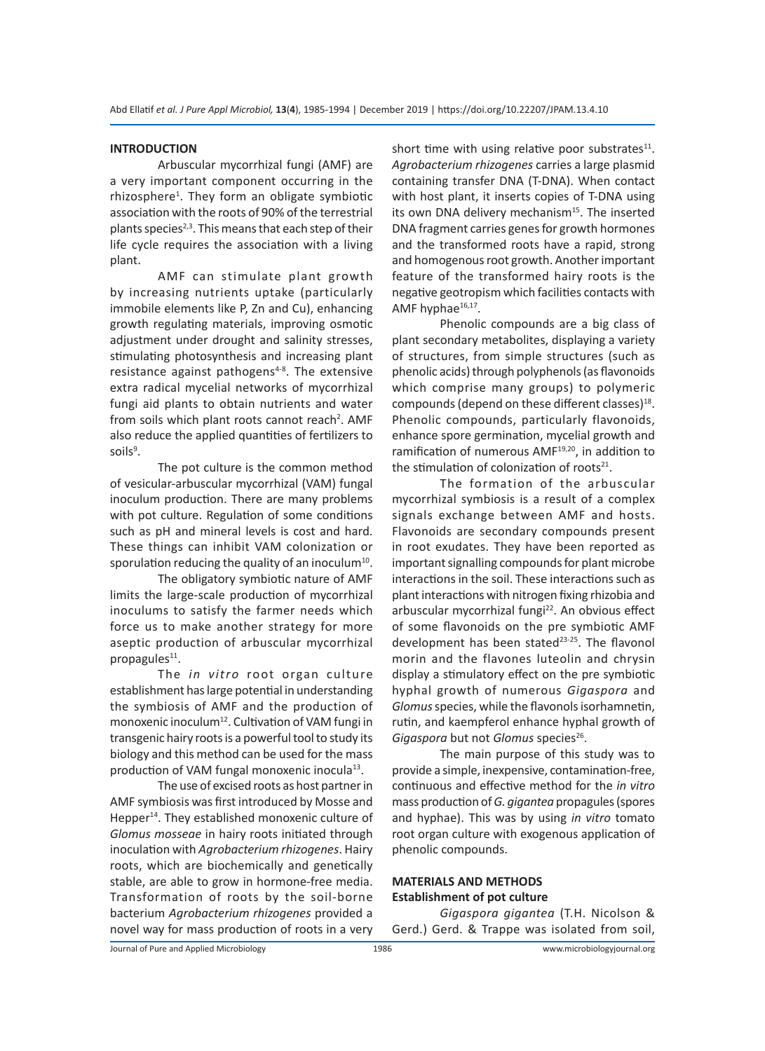#### **INTRODUCTION**

Arbuscular mycorrhizal fungi (AMF) are a very important component occurring in the rhizosphere<sup>1</sup>. They form an obligate symbiotic association with the roots of 90% of the terrestrial plants species<sup>2,3</sup>. This means that each step of their life cycle requires the association with a living plant.

AMF can stimulate plant growth by increasing nutrients uptake (particularly immobile elements like P, Zn and Cu), enhancing growth regulating materials, improving osmotic adjustment under drought and salinity stresses, stimulating photosynthesis and increasing plant resistance against pathogens<sup>4-8</sup>. The extensive extra radical mycelial networks of mycorrhizal fungi aid plants to obtain nutrients and water from soils which plant roots cannot reach<sup>2</sup>. AMF also reduce the applied quantities of fertilizers to soils<sup>9</sup>.

The pot culture is the common method of vesicular-arbuscular mycorrhizal (VAM) fungal inoculum production. There are many problems with pot culture. Regulation of some conditions such as pH and mineral levels is cost and hard. These things can inhibit VAM colonization or sporulation reducing the quality of an inoculum<sup>10</sup>.

The obligatory symbiotic nature of AMF limits the large-scale production of mycorrhizal inoculums to satisfy the farmer needs which force us to make another strategy for more aseptic production of arbuscular mycorrhizal propagules $^{11}$ .

The *in vitro* root organ culture establishment has large potential in understanding the symbiosis of AMF and the production of monoxenic inoculum<sup>12</sup>. Cultivation of VAM fungi in transgenic hairy roots is a powerful tool to study its biology and this method can be used for the mass production of VAM fungal monoxenic inocula<sup>13</sup>.

The use of excised roots as host partner in AMF symbiosis was first introduced by Mosse and Hepper<sup>14</sup>. They established monoxenic culture of *Glomus mosseae* in hairy roots initiated through inoculation with *Agrobacterium rhizogenes*. Hairy roots, which are biochemically and genetically stable, are able to grow in hormone-free media. Transformation of roots by the soil-borne bacterium *Agrobacterium rhizogenes* provided a novel way for mass production of roots in a very short time with using relative poor substrates $^{11}$ . *Agrobacterium rhizogenes* carries a large plasmid containing transfer DNA (T-DNA). When contact with host plant, it inserts copies of T-DNA using its own DNA delivery mechanism<sup>15</sup>. The inserted DNA fragment carries genes for growth hormones and the transformed roots have a rapid, strong and homogenous root growth. Another important feature of the transformed hairy roots is the negative geotropism which facilities contacts with AMF hyphae<sup>16,17</sup>.

Phenolic compounds are a big class of plant secondary metabolites, displaying a variety of structures, from simple structures (such as phenolic acids) through polyphenols (as flavonoids which comprise many groups) to polymeric compounds (depend on these different classes)<sup>18</sup>. Phenolic compounds, particularly flavonoids, enhance spore germination, mycelial growth and ramification of numerous AMF<sup>19,20</sup>, in addition to the stimulation of colonization of roots $21$ .

The formation of the arbuscular mycorrhizal symbiosis is a result of a complex signals exchange between AMF and hosts. Flavonoids are secondary compounds present in root exudates. They have been reported as important signalling compounds for plant microbe interactions in the soil. These interactions such as plant interactions with nitrogen fixing rhizobia and arbuscular mycorrhizal fungi<sup>22</sup>. An obvious effect of some flavonoids on the pre symbiotic AMF development has been stated<sup>23-25</sup>. The flavonol morin and the flavones luteolin and chrysin display a stimulatory effect on the pre symbiotic hyphal growth of numerous *Gigaspora* and *Glomus* species, while the flavonols isorhamnetin, rutin, and kaempferol enhance hyphal growth of *Gigaspora* but not *Glomus* species<sup>26</sup>.

The main purpose of this study was to provide a simple, inexpensive, contamination-free, continuous and effective method for the *in vitro* mass production of *G. gigantea* propagules (spores and hyphae). This was by using *in vitro* tomato root organ culture with exogenous application of phenolic compounds.

# **MATERIALS AND METHODS Establishment of pot culture**

*Gigaspora gigantea* (T.H. Nicolson & Gerd.) Gerd. & Trappe was isolated from soil,

Journal of Pure and Applied Microbiology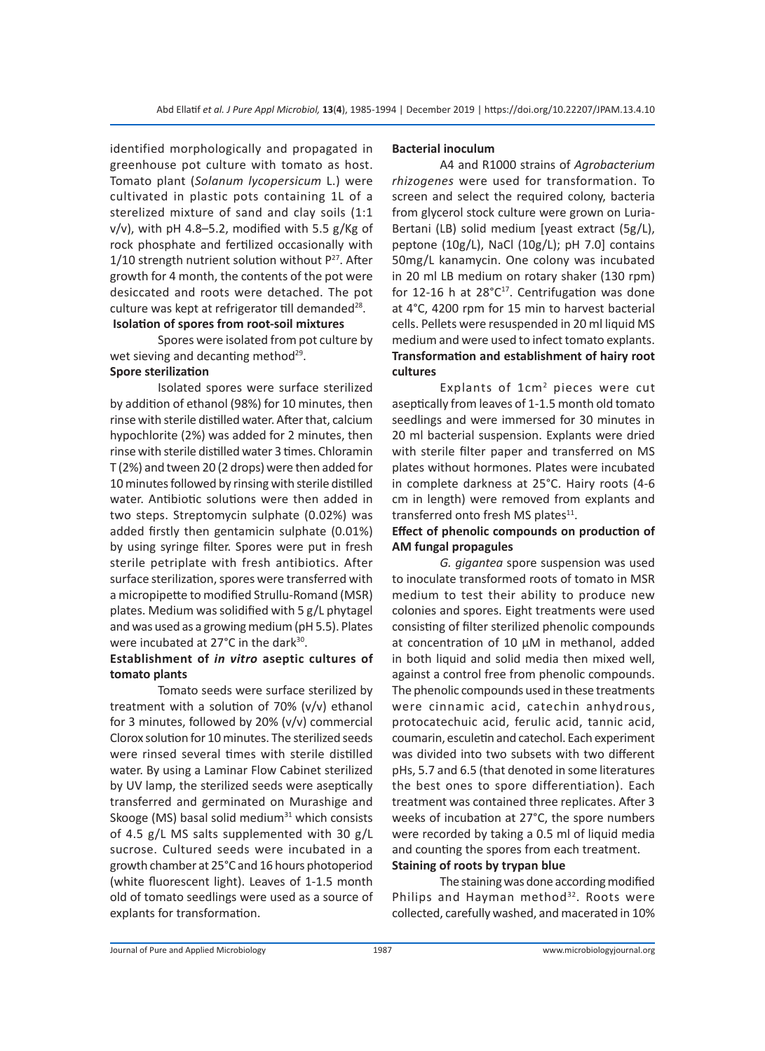identified morphologically and propagated in greenhouse pot culture with tomato as host. Tomato plant (*Solanum lycopersicum* L.) were cultivated in plastic pots containing 1L of a sterelized mixture of sand and clay soils (1:1 v/v), with pH 4.8–5.2, modified with 5.5 g/Kg of rock phosphate and fertilized occasionally with  $1/10$  strength nutrient solution without  $P^{27}$ . After growth for 4 month, the contents of the pot were desiccated and roots were detached. The pot culture was kept at refrigerator till demanded $^{28}$ .  **Isolation of spores from root-soil mixtures**

Spores were isolated from pot culture by wet sieving and decanting method<sup>29</sup>.

# **Spore sterilization**

Isolated spores were surface sterilized by addition of ethanol (98%) for 10 minutes, then rinse with sterile distilled water. After that, calcium hypochlorite (2%) was added for 2 minutes, then rinse with sterile distilled water 3 times. Chloramin T (2%) and tween 20 (2 drops) were then added for 10 minutes followed by rinsing with sterile distilled water. Antibiotic solutions were then added in two steps. Streptomycin sulphate (0.02%) was added firstly then gentamicin sulphate (0.01%) by using syringe filter. Spores were put in fresh sterile petriplate with fresh antibiotics. After surface sterilization, spores were transferred with a micropipette to modified Strullu-Romand (MSR) plates. Medium was solidified with 5 g/L phytagel and was used as a growing medium (pH 5.5). Plates were incubated at 27°C in the dark<sup>30</sup>.

# **Establishment of** *in vitro* **aseptic cultures of tomato plants**

Tomato seeds were surface sterilized by treatment with a solution of 70% (v/v) ethanol for 3 minutes, followed by 20% (v/v) commercial Clorox solution for 10 minutes. The sterilized seeds were rinsed several times with sterile distilled water. By using a Laminar Flow Cabinet sterilized by UV lamp, the sterilized seeds were aseptically transferred and germinated on Murashige and Skooge (MS) basal solid medium $31$  which consists of 4.5 g/L MS salts supplemented with 30 g/L sucrose. Cultured seeds were incubated in a growth chamber at 25°C and 16 hours photoperiod (white fluorescent light). Leaves of 1-1.5 month old of tomato seedlings were used as a source of explants for transformation.

#### **Bacterial inoculum**

A4 and R1000 strains of *Agrobacterium rhizogenes* were used for transformation. To screen and select the required colony, bacteria from glycerol stock culture were grown on Luria-Bertani (LB) solid medium [yeast extract (5g/L), peptone (10g/L), NaCl (10g/L); pH 7.0] contains 50mg/L kanamycin. One colony was incubated in 20 ml LB medium on rotary shaker (130 rpm) for 12-16 h at  $28^{\circ}C^{17}$ . Centrifugation was done at 4°C, 4200 rpm for 15 min to harvest bacterial cells. Pellets were resuspended in 20 ml liquid MS medium and were used to infect tomato explants. **Transformation and establishment of hairy root cultures**

Explants of 1cm2 pieces were cut aseptically from leaves of 1-1.5 month old tomato seedlings and were immersed for 30 minutes in 20 ml bacterial suspension. Explants were dried with sterile filter paper and transferred on MS plates without hormones. Plates were incubated in complete darkness at 25°C. Hairy roots (4-6 cm in length) were removed from explants and transferred onto fresh MS plates $^{11}$ .

# **Effect of phenolic compounds on production of AM fungal propagules**

*G. gigantea* spore suspension was used to inoculate transformed roots of tomato in MSR medium to test their ability to produce new colonies and spores. Eight treatments were used consisting of filter sterilized phenolic compounds at concentration of 10 µM in methanol, added in both liquid and solid media then mixed well, against a control free from phenolic compounds. The phenolic compounds used in these treatments were cinnamic acid, catechin anhydrous, protocatechuic acid, ferulic acid, tannic acid, coumarin, esculetin and catechol. Each experiment was divided into two subsets with two different pHs, 5.7 and 6.5 (that denoted in some literatures the best ones to spore differentiation). Each treatment was contained three replicates. After 3 weeks of incubation at 27°C, the spore numbers were recorded by taking a 0.5 ml of liquid media and counting the spores from each treatment. **Staining of roots by trypan blue**

The staining was done according modified Philips and Hayman method<sup>32</sup>. Roots were collected, carefully washed, and macerated in 10%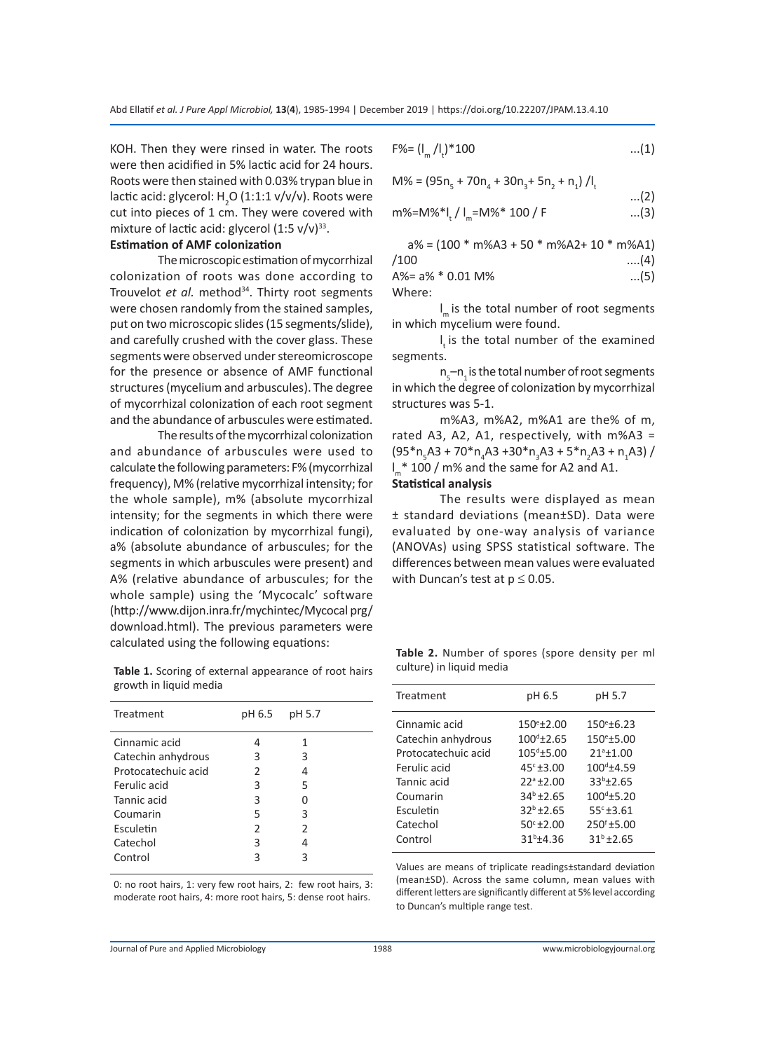KOH. Then they were rinsed in water. The roots were then acidified in 5% lactic acid for 24 hours. Roots were then stained with 0.03% trypan blue in lactic acid: glycerol: H<sub>2</sub>O (1:1:1 v/v/v). Roots were cut into pieces of 1 cm. They were covered with mixture of lactic acid: glycerol  $(1:5 \text{ v/v})^{33}$ .

#### **Estimation of AMF colonization**

The microscopic estimation of mycorrhizal colonization of roots was done according to Trouvelot et al. method<sup>34</sup>. Thirty root segments were chosen randomly from the stained samples, put on two microscopic slides (15 segments/slide), and carefully crushed with the cover glass. These segments were observed under stereomicroscope for the presence or absence of AMF functional structures (mycelium and arbuscules). The degree of mycorrhizal colonization of each root segment and the abundance of arbuscules were estimated.

The results of the mycorrhizal colonization and abundance of arbuscules were used to calculate the following parameters: F% (mycorrhizal frequency), M% (relative mycorrhizal intensity; for the whole sample), m% (absolute mycorrhizal intensity; for the segments in which there were indication of colonization by mycorrhizal fungi), a% (absolute abundance of arbuscules; for the segments in which arbuscules were present) and A% (relative abundance of arbuscules; for the whole sample) using the 'Mycocalc' software (http://www.dijon.inra.fr/mychintec/Mycocal prg/ download.html). The previous parameters were calculated using the following equations:

**Table 1.** Scoring of external appearance of root hairs growth in liquid media

| Treatment           | pH 6.5 | pH 5.7        |
|---------------------|--------|---------------|
| Cinnamic acid       | 4      | 1             |
| Catechin anhydrous  | 3      | 3             |
| Protocatechuic acid | 2      | 4             |
| Ferulic acid        | 3      | 5             |
| Tannic acid         | 3      | U             |
| Coumarin            | 5      | 3             |
| Esculetin           | 2      | $\mathcal{P}$ |
| Catechol            | 3      | 4             |
| Control             | 3      |               |

0: no root hairs, 1: very few root hairs, 2: few root hairs, 3: moderate root hairs, 4: more root hairs, 5: dense root hairs.

$$
F\% = (I_m / I_t)^* 100 \qquad \qquad \dots (1)
$$

$$
M\% = (95n_{5} + 70n_{4} + 30n_{3} + 5n_{2} + n_{1}) / I_{t}
$$

$$
m\% = M\% * |I_m = M\% * 100 / F
$$
...(3)

...(2)

 $a$ % = (100 \* m%A3 + 50 \* m%A2+ 10 \* m%A1)  $/100$  .....(4)  $A\% = a\% * 0.01 M\%$  ...(5)

Where:

l <sup>m</sup>is the total number of root segments in which mycelium were found.

 $I_t$  is the total number of the examined segments.

 $n_{\rm s}$ – $n_{\rm i}$  is the total number of root segments in which the degree of colonization by mycorrhizal structures was 5-1.

m%A3, m%A2, m%A1 are the% of m, rated A3, A2, A1, respectively, with m%A3 = (95\*n<sub>5</sub>A3 + 70\*n<sub>4</sub>A3 +30\*n<sub>3</sub>A3 + 5\*n<sub>2</sub>A3 + n<sub>1</sub>A3) / l <sup>m</sup>\* 100 / m% and the same for A2 and A1.

**Statistical analysis**

The results were displayed as mean ± standard deviations (mean±SD). Data were evaluated by one-way analysis of variance (ANOVAs) using SPSS statistical software. The differences between mean values were evaluated with Duncan's test at  $p \leq 0.05$ .

**Table 2.** Number of spores (spore density per ml culture) in liquid media

| Treatment           | pH 6.5              | pH 5.7                 |
|---------------------|---------------------|------------------------|
| Cinnamic acid       | $150^{\circ}$ ±2.00 | $150^{\circ}$ ±6.23    |
| Catechin anhydrous  | $100^{d}$ ±2.65     | $150^{\circ}$ ±5.00    |
| Protocatechuic acid | $105^{\circ}$ ±5.00 | $21^{\circ}$ ±1.00     |
| Ferulic acid        | $45c + 3.00$        | $100^{\text{d}}$ ±4.59 |
| Tannic acid         | $22^a \pm 2.00$     | $33^{b} \pm 2.65$      |
| Coumarin            | $34^{b}$ ±2.65      | $100^{\text{d}}$ ±5.20 |
| Esculetin           | $32^{b} \pm 2.65$   | $55^{\circ}$ ±3.61     |
| Catechol            | $50^{\circ}$ ± 2.00 | $250^{6}$ ±5.00        |
| Control             | $31^{b}$ ±4.36      | $31^{b}$ ±2.65         |

Values are means of triplicate readings±standard deviation (mean±SD). Across the same column, mean values with different letters are significantly different at 5% level according to Duncan's multiple range test.

Journal of Pure and Applied Microbiology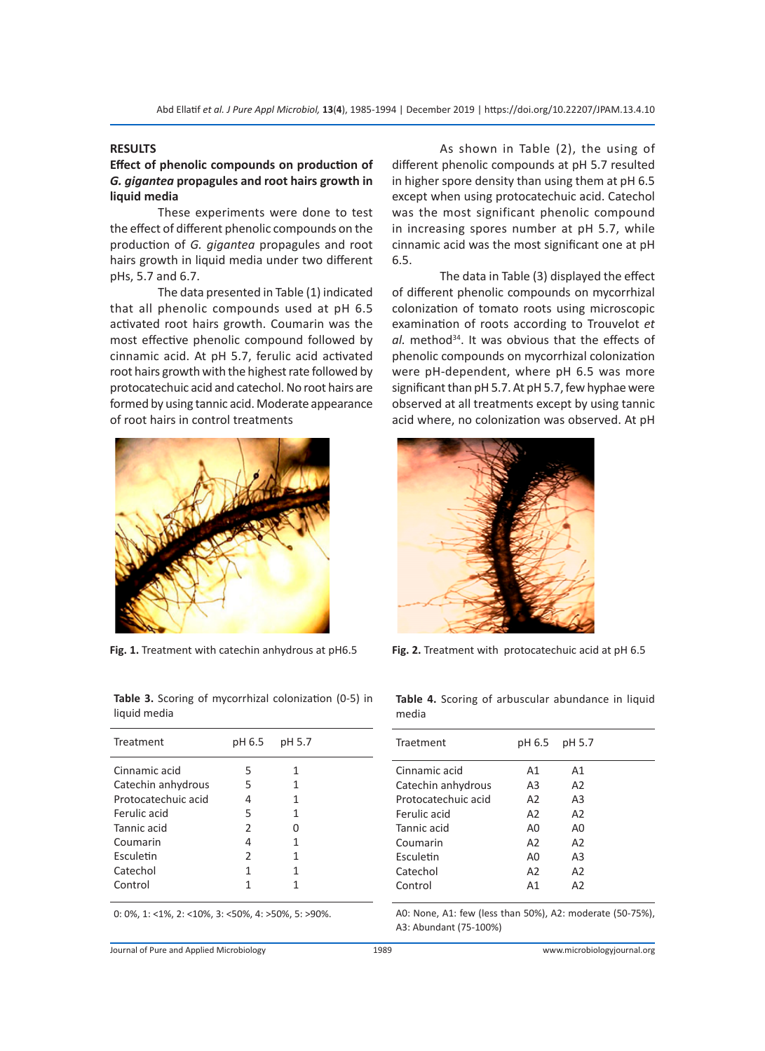# **RESULTS**

# **Effect of phenolic compounds on production of**  *G. gigantea* **propagules and root hairs growth in liquid media**

These experiments were done to test the effect of different phenolic compounds on the production of *G. gigantea* propagules and root hairs growth in liquid media under two different pHs, 5.7 and 6.7.

The data presented in Table (1) indicated that all phenolic compounds used at pH 6.5 activated root hairs growth. Coumarin was the most effective phenolic compound followed by cinnamic acid. At pH 5.7, ferulic acid activated root hairs growth with the highest rate followed by protocatechuic acid and catechol. No root hairs are formed by using tannic acid. Moderate appearance of root hairs in control treatments



**Table 3.** Scoring of mycorrhizal colonization (0-5) in liquid media

| Treatment           | pH 6.5        | pH 5.7 |  |
|---------------------|---------------|--------|--|
| Cinnamic acid       | 5             | 1      |  |
| Catechin anhydrous  | 5             | 1      |  |
| Protocatechuic acid | 4             | 1      |  |
| Ferulic acid        | 5             | 1      |  |
| Tannic acid         | 2             |        |  |
| Coumarin            | 4             | 1      |  |
| Esculetin           | $\mathcal{P}$ | 1      |  |
| Catechol            | 1             | 1      |  |
| Control             | 1             |        |  |
|                     |               |        |  |

0: 0%, 1: <1%, 2: <10%, 3: <50%, 4: >50%, 5: >90%.

As shown in Table (2), the using of different phenolic compounds at pH 5.7 resulted in higher spore density than using them at pH 6.5 except when using protocatechuic acid. Catechol was the most significant phenolic compound in increasing spores number at pH 5.7, while cinnamic acid was the most significant one at pH 6.5.

The data in Table (3) displayed the effect of different phenolic compounds on mycorrhizal colonization of tomato roots using microscopic examination of roots according to Trouvelot *et*  al. method<sup>34</sup>. It was obvious that the effects of phenolic compounds on mycorrhizal colonization were pH-dependent, where pH 6.5 was more significant than pH 5.7. At pH 5.7, few hyphae were observed at all treatments except by using tannic acid where, no colonization was observed. At pH



**Fig. 1.** Treatment with catechin anhydrous at pH6.5 **Fig. 2.** Treatment with protocatechuic acid at pH 6.5

**Table 4.** Scoring of arbuscular abundance in liquid media

| Traetment           | pH 6.5         | pH 5.7         |  |
|---------------------|----------------|----------------|--|
| Cinnamic acid       | A1             | A1             |  |
| Catechin anhydrous  | A3             | A2             |  |
| Protocatechuic acid | A <sub>2</sub> | A3             |  |
| Ferulic acid        | A <sub>2</sub> | A <sub>2</sub> |  |
| Tannic acid         | A0             | A0             |  |
| Coumarin            | A <sub>2</sub> | A2             |  |
| Esculetin           | A0             | A3             |  |
| Catechol            | A <sub>2</sub> | A2             |  |
| Control             | A1             | A2             |  |
|                     |                |                |  |

A0: None, A1: few (less than 50%), A2: moderate (50-75%), A3: Abundant (75-100%)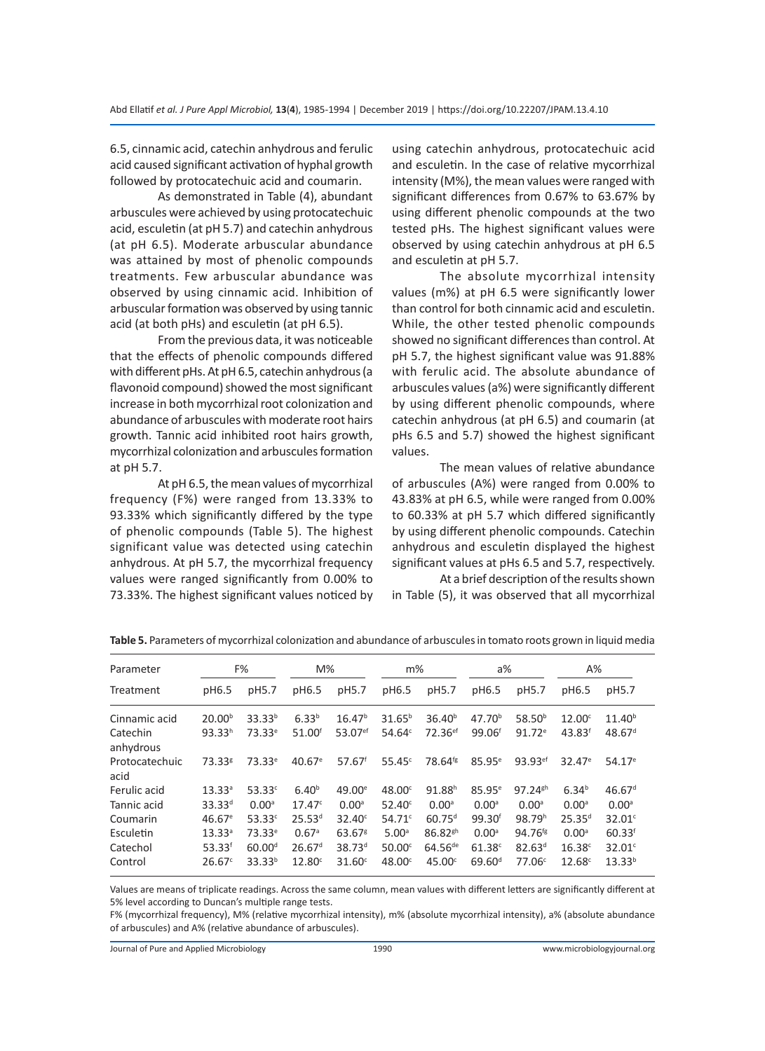6.5, cinnamic acid, catechin anhydrous and ferulic acid caused significant activation of hyphal growth followed by protocatechuic acid and coumarin.

As demonstrated in Table (4), abundant arbuscules were achieved by using protocatechuic acid, esculetin (at pH 5.7) and catechin anhydrous (at pH 6.5). Moderate arbuscular abundance was attained by most of phenolic compounds treatments. Few arbuscular abundance was observed by using cinnamic acid. Inhibition of arbuscular formation was observed by using tannic acid (at both pHs) and esculetin (at pH 6.5).

From the previous data, it was noticeable that the effects of phenolic compounds differed with different pHs. At pH 6.5, catechin anhydrous (a flavonoid compound) showed the most significant increase in both mycorrhizal root colonization and abundance of arbuscules with moderate root hairs growth. Tannic acid inhibited root hairs growth, mycorrhizal colonization and arbuscules formation at pH 5.7.

At pH 6.5, the mean values of mycorrhizal frequency (F%) were ranged from 13.33% to 93.33% which significantly differed by the type of phenolic compounds (Table 5). The highest significant value was detected using catechin anhydrous. At pH 5.7, the mycorrhizal frequency values were ranged significantly from 0.00% to 73.33%. The highest significant values noticed by using catechin anhydrous, protocatechuic acid and esculetin. In the case of relative mycorrhizal intensity (M%), the mean values were ranged with significant differences from 0.67% to 63.67% by using different phenolic compounds at the two tested pHs. The highest significant values were observed by using catechin anhydrous at pH 6.5 and esculetin at pH 5.7.

The absolute mycorrhizal intensity values (m%) at pH 6.5 were significantly lower than control for both cinnamic acid and esculetin. While, the other tested phenolic compounds showed no significant differences than control. At pH 5.7, the highest significant value was 91.88% with ferulic acid. The absolute abundance of arbuscules values (a%) were significantly different by using different phenolic compounds, where catechin anhydrous (at pH 6.5) and coumarin (at pHs 6.5 and 5.7) showed the highest significant values.

The mean values of relative abundance of arbuscules (A%) were ranged from 0.00% to 43.83% at pH 6.5, while were ranged from 0.00% to 60.33% at pH 5.7 which differed significantly by using different phenolic compounds. Catechin anhydrous and esculetin displayed the highest significant values at pHs 6.5 and 5.7, respectively.

At a brief description of the results shown in Table (5), it was observed that all mycorrhizal

| Parameter              |                    | F%                 | $M\%$                |                      | $m\%$              |                       | a%                 |                       | $A\%$              |                    |
|------------------------|--------------------|--------------------|----------------------|----------------------|--------------------|-----------------------|--------------------|-----------------------|--------------------|--------------------|
| Treatment              | pH6.5              | pH5.7              | pH6.5                | pH5.7                | pH6.5              | pH5.7                 | pH6.5              | pH5.7                 | pH6.5              | pH5.7              |
| Cinnamic acid          | 20.00 <sup>b</sup> | $33.33^{b}$        | $6.33^{b}$           | 16.47 <sup>b</sup>   | $31.65^{b}$        | 36.40 <sup>b</sup>    | 47.70 <sup>b</sup> | $58.50^{b}$           | 12.00 <sup>c</sup> | $11.40^{b}$        |
| Catechin<br>anhydrous  | 93.33 <sup>h</sup> | 73.33 <sup>e</sup> | 51.00 <sup>f</sup>   | 53.07 <sup>ef</sup>  | 54.64c             | $72.36$ <sup>ef</sup> | 99.06 <sup>f</sup> | $91.72^e$             | 43.83 <sup>f</sup> | 48.67 <sup>d</sup> |
| Protocatechuic<br>acid | 73.33 <sup>g</sup> | $73.33^{\circ}$    | $40.67$ <sup>e</sup> | $57.67$ <sup>f</sup> | 55.45c             | 78.64 <sup>fg</sup>   | $85.95^{\circ}$    | $93.93$ <sup>ef</sup> | $32.47^{\circ}$    | $54.17^e$          |
| Ferulic acid           | 13.33 <sup>a</sup> | $53.33^{\circ}$    | $6.40^{b}$           | $49.00^{\circ}$      | $48.00^\circ$      | 91.88 <sup>h</sup>    | $85.95^{\circ}$    | $97.24$ <sup>gh</sup> | $6.34^{b}$         | 46.67 <sup>d</sup> |
| Tannic acid            | $33.33^{d}$        | 0.00 <sup>a</sup>  | 17.47c               | 0.00 <sup>a</sup>    | $52.40^\circ$      | 0.00 <sup>a</sup>     | 0.00 <sup>a</sup>  | 0.00 <sup>a</sup>     | 0.00 <sup>a</sup>  | 0.00 <sup>a</sup>  |
| Coumarin               | $46.67^e$          | 53.33c             | 25.53 <sup>d</sup>   | $32.40^{\circ}$      | $54.71^{\circ}$    | $60.75^{d}$           | 99.30 <sup>f</sup> | 98.79 <sup>h</sup>    | $25.35^{d}$        | 32.01c             |
| Esculetin              | 13.33 <sup>a</sup> | $73.33^e$          | 0.67 <sup>a</sup>    | $63.67$ <sup>g</sup> | 5.00 <sup>a</sup>  | $86.82$ <sup>gh</sup> | 0.00 <sup>a</sup>  | $94.76^{fg}$          | 0.00 <sup>a</sup>  | $60.33^{f}$        |
| Catechol               | $53.33^f$          | 60.00 <sup>d</sup> | 26.67 <sup>d</sup>   | $38.73^{d}$          | 50.00 <sup>c</sup> | $64.56^{de}$          | 61.38c             | 82.63 <sup>d</sup>    | 16.38c             | $32.01^{\circ}$    |
| Control                | 26.67c             | $33.33^{b}$        | 12.80 <sup>c</sup>   | 31.60 <sup>c</sup>   | 48.00 <sup>c</sup> | 45.00°                | 69.60 <sup>d</sup> | 77.06c                | 12.68c             | $13.33^{b}$        |

**Table 5.** Parameters of mycorrhizal colonization and abundance of arbuscules in tomato roots grown in liquid media

Values are means of triplicate readings. Across the same column, mean values with different letters are significantly different at 5% level according to Duncan's multiple range tests.

F% (mycorrhizal frequency), M% (relative mycorrhizal intensity), m% (absolute mycorrhizal intensity), a% (absolute abundance of arbuscules) and A% (relative abundance of arbuscules).

Journal of Pure and Applied Microbiology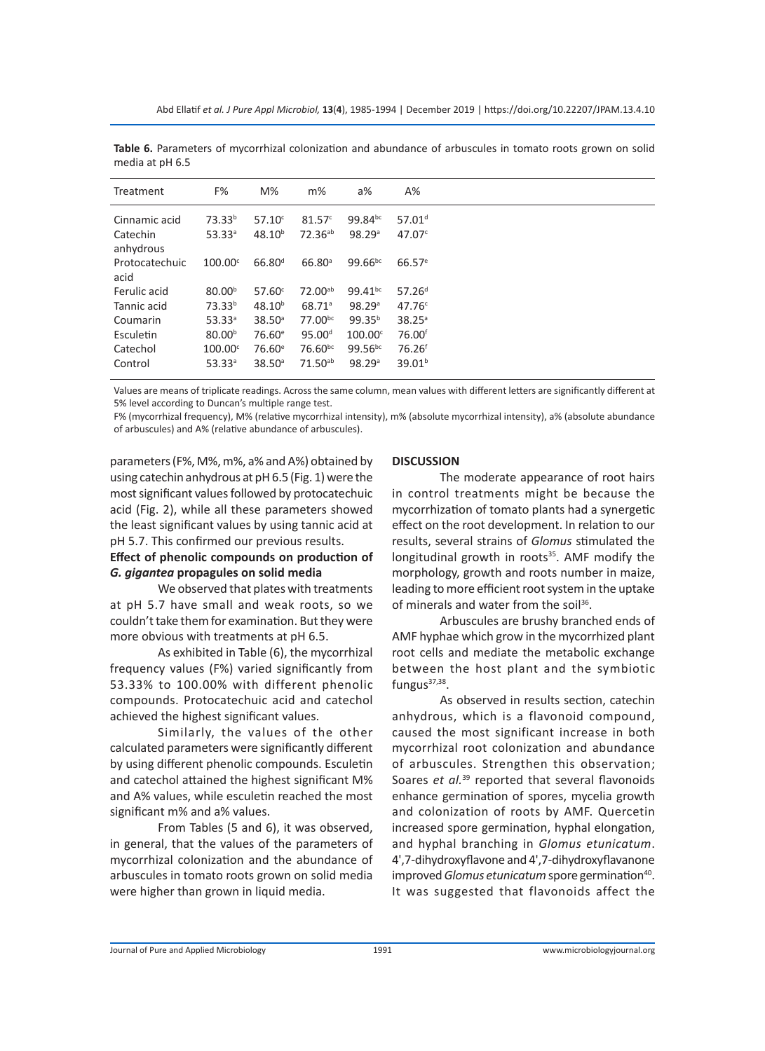| Treatment      | F%                   | $M\%$              | $m\%$                | $a\%$               | $A\%$              |
|----------------|----------------------|--------------------|----------------------|---------------------|--------------------|
| Cinnamic acid  | 73.33 <sup>b</sup>   | $57.10^c$          | 81.57 <sup>c</sup>   | 99.84bc             | 57.01 <sup>d</sup> |
| Catechin       | $53.33^a$            | $48.10^{b}$        | $72.36^{ab}$         | 98.29a              | 47.07 <sup>c</sup> |
| anhydrous      |                      |                    |                      |                     |                    |
| Protocatechuic | $100.00^{\circ}$     | $66.80^{d}$        | $66.80$ <sup>a</sup> | $99.66^{bc}$        | $66.57^{\circ}$    |
| acid           |                      |                    |                      |                     |                    |
| Ferulic acid   | 80.00 <sup>b</sup>   | 57.60 <sup>c</sup> | 72.00 <sup>ab</sup>  | 99.41 <sup>bc</sup> | 57.26 <sup>d</sup> |
| Tannic acid    | 73.33 <sup>b</sup>   | $48.10^{b}$        | 68.71 <sup>a</sup>   | 98.29a              | 47.76c             |
| Coumarin       | $53.33^a$            | 38.50 <sup>a</sup> | 77.00 <sup>bc</sup>  | $99.35^{b}$         | $38.25^{\circ}$    |
| Esculetin      | 80.00 <sup>b</sup>   | 76.60 <sup>e</sup> | 95.00 <sup>d</sup>   | $100.00^\circ$      | 76.00 <sup>f</sup> |
| Catechol       | $100.00^{\circ}$     | 76.60 <sup>e</sup> | $76.60^{bc}$         | $99.56^{bc}$        | 76.26 <sup>f</sup> |
| Control        | $53.33$ <sup>a</sup> | 38.50 <sup>a</sup> | $71.50^{ab}$         | 98.29a              | 39.01 <sup>b</sup> |
|                |                      |                    |                      |                     |                    |

**Table 6.** Parameters of mycorrhizal colonization and abundance of arbuscules in tomato roots grown on solid media at pH 6.5

Values are means of triplicate readings. Across the same column, mean values with different letters are significantly different at 5% level according to Duncan's multiple range test.

F% (mycorrhizal frequency), M% (relative mycorrhizal intensity), m% (absolute mycorrhizal intensity), a% (absolute abundance of arbuscules) and A% (relative abundance of arbuscules).

parameters (F%, M%, m%, a% and A%) obtained by using catechin anhydrous at pH 6.5 (Fig. 1) were the most significant values followed by protocatechuic acid (Fig. 2), while all these parameters showed the least significant values by using tannic acid at pH 5.7. This confirmed our previous results.

# **Effect of phenolic compounds on production of**  *G. gigantea* **propagules on solid media**

We observed that plates with treatments at pH 5.7 have small and weak roots, so we couldn't take them for examination. But they were more obvious with treatments at pH 6.5.

As exhibited in Table (6), the mycorrhizal frequency values (F%) varied significantly from 53.33% to 100.00% with different phenolic compounds. Protocatechuic acid and catechol achieved the highest significant values.

Similarly, the values of the other calculated parameters were significantly different by using different phenolic compounds. Esculetin and catechol attained the highest significant M% and A% values, while esculetin reached the most significant m% and a% values.

From Tables (5 and 6), it was observed, in general, that the values of the parameters of mycorrhizal colonization and the abundance of arbuscules in tomato roots grown on solid media were higher than grown in liquid media.

#### **DISCUSSION**

The moderate appearance of root hairs in control treatments might be because the mycorrhization of tomato plants had a synergetic effect on the root development. In relation to our results, several strains of *Glomus* stimulated the longitudinal growth in roots<sup>35</sup>. AMF modify the morphology, growth and roots number in maize, leading to more efficient root system in the uptake of minerals and water from the soil<sup>36</sup>.

Arbuscules are brushy branched ends of AMF hyphae which grow in the mycorrhized plant root cells and mediate the metabolic exchange between the host plant and the symbiotic fungus $37,38$ .

As observed in results section, catechin anhydrous, which is a flavonoid compound, caused the most significant increase in both mycorrhizal root colonization and abundance of arbuscules. Strengthen this observation; Soares *et al.*<sup>39</sup> reported that several flavonoids enhance germination of spores, mycelia growth and colonization of roots by AMF. Quercetin increased spore germination, hyphal elongation, and hyphal branching in *Glomus etunicatum*. 4',7-dihydroxyflavone and 4',7-dihydroxyflavanone improved *Glomus etunicatum* spore germination<sup>40</sup>. It was suggested that flavonoids affect the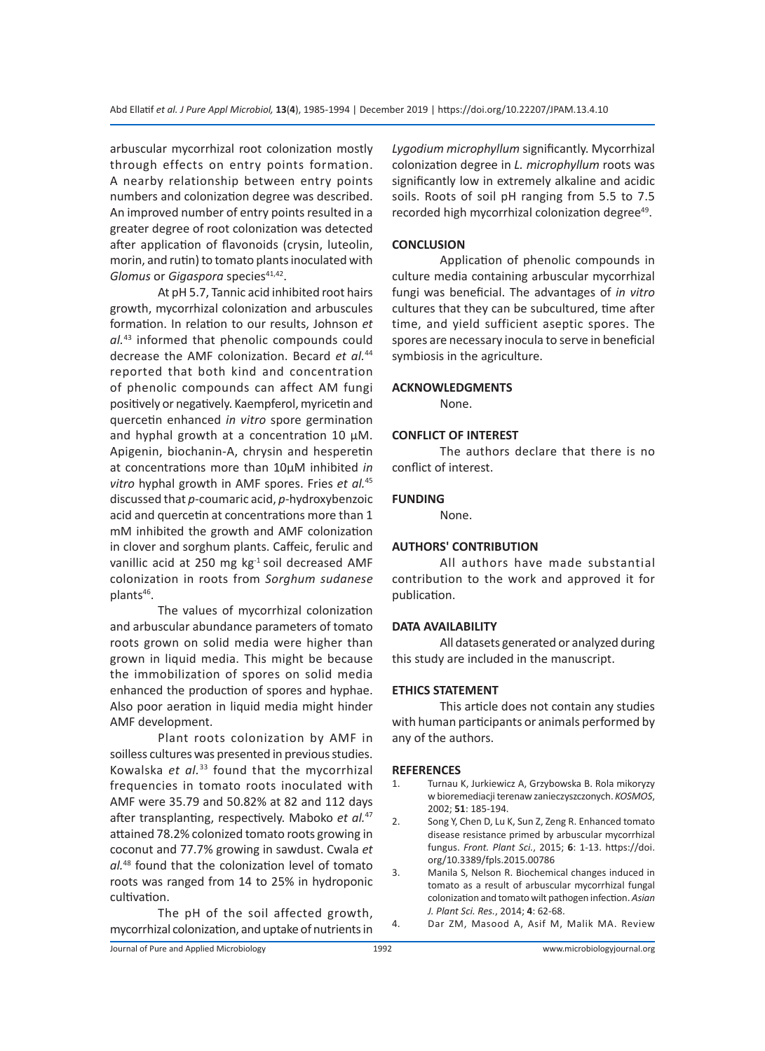arbuscular mycorrhizal root colonization mostly through effects on entry points formation. A nearby relationship between entry points numbers and colonization degree was described. An improved number of entry points resulted in a greater degree of root colonization was detected after application of flavonoids (crysin, luteolin, morin, and rutin) to tomato plants inoculated with *Glomus* or *Gigaspora* species<sup>41,42</sup>.

At pH 5.7, Tannic acid inhibited root hairs growth, mycorrhizal colonization and arbuscules formation. In relation to our results, Johnson *et al.*<sup>43</sup> informed that phenolic compounds could decrease the AMF colonization. Becard *et al.*<sup>44</sup> reported that both kind and concentration of phenolic compounds can affect AM fungi positively or negatively. Kaempferol, myricetin and quercetin enhanced *in vitro* spore germination and hyphal growth at a concentration 10  $\mu$ M. Apigenin, biochanin-A, chrysin and hesperetin at concentrations more than 10µM inhibited *in vitro* hyphal growth in AMF spores. Fries *et al.*<sup>45</sup> discussed that *p-*coumaric acid, *p-*hydroxybenzoic acid and quercetin at concentrations more than 1 mM inhibited the growth and AMF colonization in clover and sorghum plants. Caffeic, ferulic and vanillic acid at 250 mg  $kg<sup>-1</sup>$  soil decreased AMF colonization in roots from *Sorghum sudanese* plants<sup>46</sup>.

The values of mycorrhizal colonization and arbuscular abundance parameters of tomato roots grown on solid media were higher than grown in liquid media. This might be because the immobilization of spores on solid media enhanced the production of spores and hyphae. Also poor aeration in liquid media might hinder AMF development.

Plant roots colonization by AMF in soilless cultures was presented in previous studies. Kowalska *et al.*<sup>33</sup> found that the mycorrhizal frequencies in tomato roots inoculated with AMF were 35.79 and 50.82% at 82 and 112 days after transplanting, respectively. Maboko *et al.*<sup>47</sup> attained 78.2% colonized tomato roots growing in coconut and 77.7% growing in sawdust. Cwala *et al.*<sup>48</sup> found that the colonization level of tomato roots was ranged from 14 to 25% in hydroponic cultivation.

The pH of the soil affected growth, mycorrhizal colonization, and uptake of nutrients in *Lygodium microphyllum* significantly. Mycorrhizal colonization degree in *L. microphyllum* roots was significantly low in extremely alkaline and acidic soils. Roots of soil pH ranging from 5.5 to 7.5 recorded high mycorrhizal colonization degree<sup>49</sup>.

# **CONCLUSION**

Application of phenolic compounds in culture media containing arbuscular mycorrhizal fungi was beneficial. The advantages of *in vitro* cultures that they can be subcultured, time after time, and yield sufficient aseptic spores. The spores are necessary inocula to serve in beneficial symbiosis in the agriculture.

#### **ACKNOWLEDGMENTS**

None.

#### **CONFLICT OF INTEREST**

The authors declare that there is no conflict of interest.

#### **FUNDING**

None.

# **AUTHORS' CONTRIBUTION**

All authors have made substantial contribution to the work and approved it for publication.

#### **DATA AVAILABILITY**

All datasets generated or analyzed during this study are included in the manuscript.

### **ETHICS STATEMENT**

This article does not contain any studies with human participants or animals performed by any of the authors.

#### **REFERENCES**

- 1. Turnau K, Jurkiewicz A, Grzybowska B. Rola mikoryzy w bioremediacji terenaw zanieczyszczonych. *KOSMOS*, 2002; **51**: 185-194.
- 2. Song Y, Chen D, Lu K, Sun Z, Zeng R. Enhanced tomato disease resistance primed by arbuscular mycorrhizal fungus. *Front. Plant Sci.*, 2015; **6**: 1-13. https://doi. org/10.3389/fpls.2015.00786
- 3. Manila S, Nelson R. Biochemical changes induced in tomato as a result of arbuscular mycorrhizal fungal colonization and tomato wilt pathogen infection. *Asian J. Plant Sci. Res.*, 2014; **4**: 62-68.
- 4. Dar ZM, Masood A, Asif M, Malik MA. Review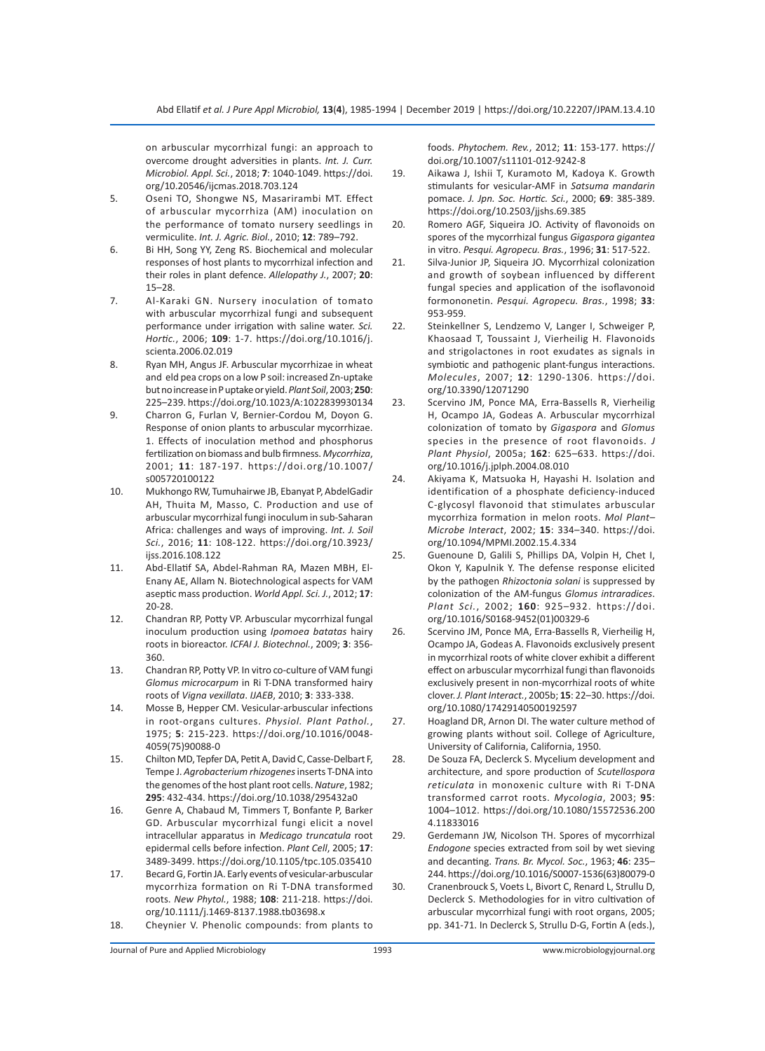on arbuscular mycorrhizal fungi: an approach to overcome drought adversities in plants. *Int. J. Curr. Microbiol. Appl. Sci.*, 2018; **7**: 1040-1049. https://doi. org/10.20546/ijcmas.2018.703.124

- 5. Oseni TO, Shongwe NS, Masarirambi MT. Effect of arbuscular mycorrhiza (AM) inoculation on the performance of tomato nursery seedlings in vermiculite. *Int. J. Agric. Biol.*, 2010; **12**: 789–792.
- 6. Bi HH, Song YY, Zeng RS. Biochemical and molecular responses of host plants to mycorrhizal infection and their roles in plant defence. *Allelopathy J.*, 2007; **20**: 15–28.
- 7. Al-Karaki GN. Nursery inoculation of tomato with arbuscular mycorrhizal fungi and subsequent performance under irrigation with saline water. *Sci. Hortic.*, 2006; **109**: 1-7. https://doi.org/10.1016/j. scienta.2006.02.019
- 8. Ryan MH, Angus JF. Arbuscular mycorrhizae in wheat and eld pea crops on a low P soil: increased Zn-uptake but no increase in P uptake or yield. *Plant Soil*, 2003; **250**: 225–239. https://doi.org/10.1023/A:1022839930134
- 9. Charron G, Furlan V, Bernier-Cordou M, Doyon G. Response of onion plants to arbuscular mycorrhizae. 1. Effects of inoculation method and phosphorus fertilization on biomass and bulb firmness. *Mycorrhiza*, 2001; **11**: 187-197. https://doi.org/10.1007/ s005720100122
- 10. Mukhongo RW, Tumuhairwe JB, Ebanyat P, AbdelGadir AH, Thuita M, Masso, C. Production and use of arbuscular mycorrhizal fungi inoculum in sub-Saharan Africa: challenges and ways of improving. *Int. J. Soil Sci.*, 2016; **11**: 108-122. https://doi.org/10.3923/ ijss.2016.108.122
- 11. Abd-Ellatif SA, Abdel-Rahman RA, Mazen MBH, El-Enany AE, Allam N. Biotechnological aspects for VAM aseptic mass production. *World Appl. Sci. J.*, 2012; **17**: 20-28.
- 12. Chandran RP, Potty VP. Arbuscular mycorrhizal fungal inoculum production using *Ipomoea batatas* hairy roots in bioreactor. *ICFAI J. Biotechnol.*, 2009; **3**: 356- 360.
- 13. Chandran RP, Potty VP. In vitro co-culture of VAM fungi *Glomus microcarpum* in Ri T-DNA transformed hairy roots of *Vigna vexillata*. *IJAEB*, 2010; **3**: 333-338.
- 14. Mosse B, Hepper CM. Vesicular-arbuscular infections in root-organs cultures. *Physiol. Plant Pathol.*, 1975; **5**: 215-223. https://doi.org/10.1016/0048- 4059(75)90088-0
- 15. Chilton MD, Tepfer DA, Petit A, David C, Casse-Delbart F, Tempe J. *Agrobacterium rhizogenes* inserts T-DNA into the genomes of the host plant root cells. *Nature*, 1982; **295**: 432-434. https://doi.org/10.1038/295432a0
- 16. Genre A, Chabaud M, Timmers T, Bonfante P, Barker GD. Arbuscular mycorrhizal fungi elicit a novel intracellular apparatus in *Medicago truncatula* root epidermal cells before infection. *Plant Cell*, 2005; **17**: 3489-3499. https://doi.org/10.1105/tpc.105.035410
- 17. Becard G, Fortin JA. Early events of vesicular-arbuscular mycorrhiza formation on Ri T-DNA transformed roots. *New Phytol.*, 1988; **108**: 211-218. https://doi. org/10.1111/j.1469-8137.1988.tb03698.x
- 18. Cheynier V. Phenolic compounds: from plants to

foods. *Phytochem. Rev.*, 2012; **11**: 153-177. https:// doi.org/10.1007/s11101-012-9242-8

- 19. Aikawa J, Ishii T, Kuramoto M, Kadoya K. Growth stimulants for vesicular-AMF in *Satsuma mandarin* pomace. *J. Jpn. Soc. Hortic. Sci.*, 2000; **69**: 385-389. https://doi.org/10.2503/jjshs.69.385
- 20. Romero AGF, Siqueira JO. Activity of flavonoids on spores of the mycorrhizal fungus *Gigaspora gigantea* in vitro. *Pesqui. Agropecu. Bras.*, 1996; **31**: 517-522.
- 21. Silva-Junior JP, Siqueira JO. Mycorrhizal colonization and growth of soybean influenced by different fungal species and application of the isoflavonoid formononetin. *Pesqui. Agropecu. Bras.*, 1998; **33**: 953-959.
- 22. Steinkellner S, Lendzemo V, Langer I, Schweiger P, Khaosaad T, Toussaint J, Vierheilig H. Flavonoids and strigolactones in root exudates as signals in symbiotic and pathogenic plant-fungus interactions. *Molecules*, 2007; **12**: 1290-1306. https://doi. org/10.3390/12071290
- 23. Scervino JM, Ponce MA, Erra-Bassells R, Vierheilig H, Ocampo JA, Godeas A. Arbuscular mycorrhizal colonization of tomato by *Gigaspora* and *Glomus* species in the presence of root flavonoids. *J Plant Physiol*, 2005a; **162**: 625–633. https://doi. org/10.1016/j.jplph.2004.08.010
- 24. Akiyama K, Matsuoka H, Hayashi H. Isolation and identification of a phosphate deficiency-induced C-glycosyl flavonoid that stimulates arbuscular mycorrhiza formation in melon roots. *Mol Plant– Microbe Interact*, 2002; **15**: 334–340. https://doi. org/10.1094/MPMI.2002.15.4.334
- 25. Guenoune D, Galili S, Phillips DA, Volpin H, Chet I, Okon Y, Kapulnik Y. The defense response elicited by the pathogen *Rhizoctonia solani* is suppressed by colonization of the AM-fungus *Glomus intraradices*. *Plant Sci.*, 2002; **160**: 925–932. https://doi. org/10.1016/S0168-9452(01)00329-6
- 26. Scervino JM, Ponce MA, Erra-Bassells R, Vierheilig H, Ocampo JA, Godeas A. Flavonoids exclusively present in mycorrhizal roots of white clover exhibit a different effect on arbuscular mycorrhizal fungi than flavonoids exclusively present in non-mycorrhizal roots of white clover. *J. Plant Interact.*, 2005b; **15**: 22–30. https://doi. org/10.1080/17429140500192597
- 27. Hoagland DR, Arnon DI. The water culture method of growing plants without soil. College of Agriculture, University of California, California, 1950.
- 28. De Souza FA, Declerck S. Mycelium development and architecture, and spore production of *Scutellospora reticulata* in monoxenic culture with Ri T-DNA transformed carrot roots. *Mycologia*, 2003; **95**: 1004–1012. https://doi.org/10.1080/15572536.200 4.11833016

29. Gerdemann JW, Nicolson TH. Spores of mycorrhizal *Endogone* species extracted from soil by wet sieving and decanting. *Trans. Br. Mycol. Soc.*, 1963; **46**: 235– 244. https://doi.org/10.1016/S0007-1536(63)80079-0

30. Cranenbrouck S, Voets L, Bivort C, Renard L, Strullu D, Declerck S. Methodologies for in vitro cultivation of arbuscular mycorrhizal fungi with root organs, 2005; pp. 341-71. In Declerck S, Strullu D-G, Fortin A (eds.),